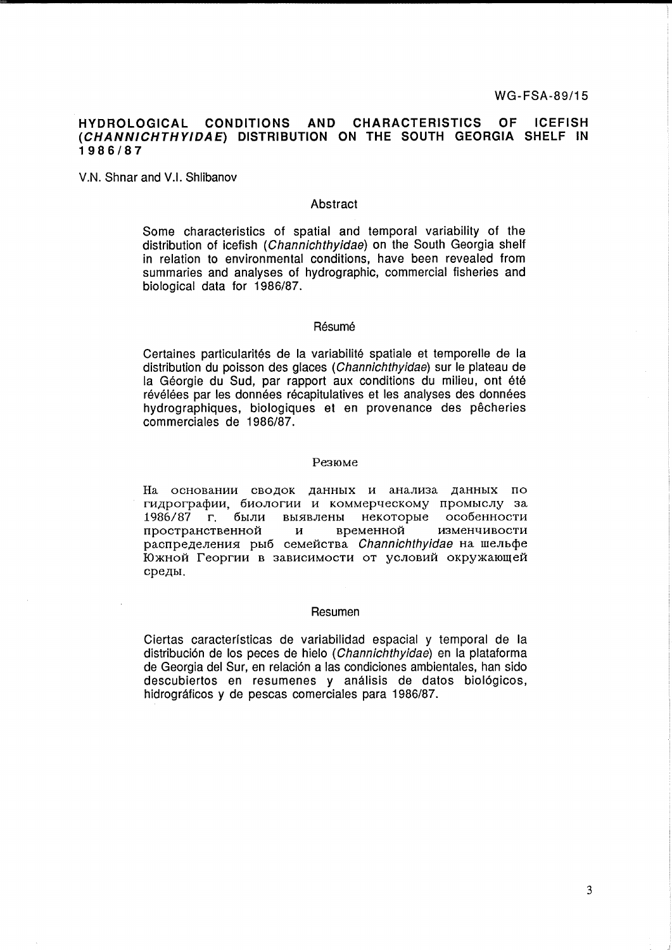#### **AND OF HYDROLOGICAL CONDITIONS CHARACTERISTICS ICEFISH** (CHANNICHTHYIDAE) DISTRIBUTION ON THE SOUTH GEORGIA SHELF IN 1986/87

V.N. Shnar and V.I. Shlibanov

## Abstract

Some characteristics of spatial and temporal variability of the distribution of icefish (Channichthyidae) on the South Georgia shelf in relation to environmental conditions, have been revealed from summaries and analyses of hydrographic, commercial fisheries and biological data for 1986/87.

### Résumé

Certaines particularités de la variabilité spatiale et temporelle de la distribution du poisson des glaces (Channichthyidae) sur le plateau de la Géorgie du Sud, par rapport aux conditions du milieu. ont été révélées par les données récapitulatives et les analyses des données hydrographiques, biologiques et en provenance des pêcheries commerciales de 1986/87.

#### Резюме

На основании сводок данных и анализа данных по гидрографии, биологии и коммерческому промыслу за 1986/87 были выявлены некоторые особенности  $\Gamma$ . пространственной  $\mathbf{u}$ временной изменчивости распределения рыб семейства Channichthyidae на шельфе Южной Георгии в зависимости от условий окружающей среды.

### Resumen

Ciertas características de variabilidad espacial y temporal de la distribución de los peces de hielo (Channichthyidae) en la plataforma de Georgia del Sur, en relación a las condiciones ambientales, han sido descubiertos en resumenes y análisis de datos biológicos, hidrográficos y de pescas comerciales para 1986/87.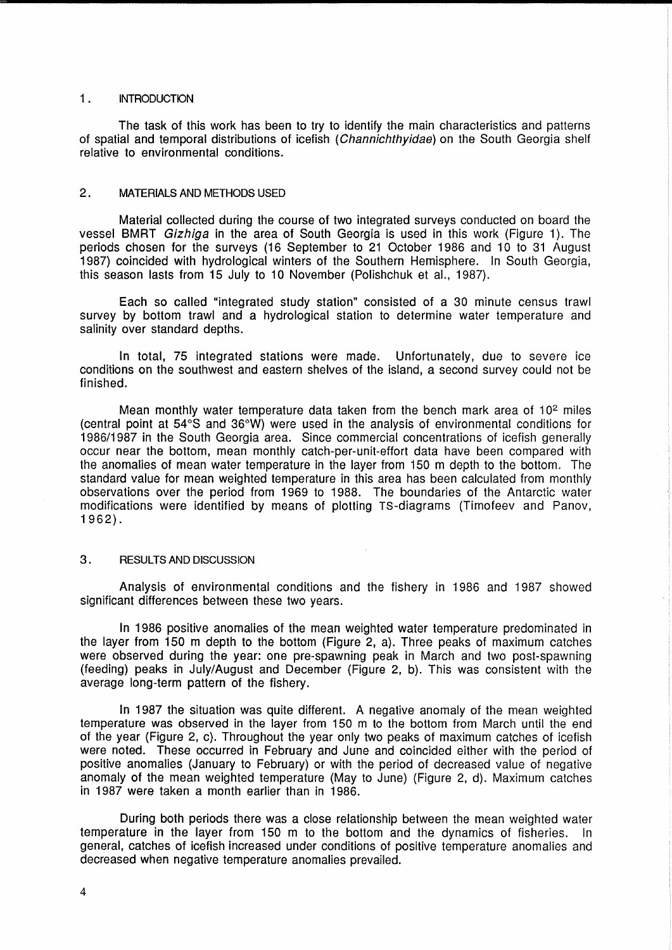### 1 . INTRODUCTION

The task of this work has been to try to identify the main characteristics and patterns of spatial and temporal distributions of icefish (Channichthyidae) on the South Georgia shelf relative to environmental conditions.

# 2. MATERIALS AND METHODS USED

Material collected during the course of two integrated surveys conducted on board the vessel BMRT Gizhiga in the area of South Georgia is used in this work (Figure 1). The periods chosen for the surveys (16 September to 21 October 1986 and 10 to 31 August 1987) coincided with hydrological winters of the Southern Hemisphere. In South Georgia, this season lasts from 15 July to 10 November (Polishchuk et al., 1987).

Each so called "integrated study station" consisted of a 30 minute census trawl survey by bottom trawl and a hydrological station to determine water temperature and salinity over standard depths.

In total, 75 integrated stations were made. Unfortunately, due to severe ice conditions on the southwest and eastern shelves of the island, a second survey could not be finished.

Mean monthly water temperature data taken from the bench mark area of 10<sup>2</sup> miles (central point at 54°S and 36°W) were used in the analysis of environmental conditions for 1986/1987 in the South Georgia area. Since commercial concentrations of icefish generally occur near the bottom, mean monthly catch-per-unit-effort data have been compared with the anomalies of mean water temperature in the layer from 150 m depth to the bottom. The standard value for mean weighted temperature in this area has been calculated from monthly observations over the period from 1969 to 1988. The boundaries of the Antarctic water modifications were identified by means of plotting TS-diagrams (Timofeev and Panov, 1962).

### 3. RESULTS AND DISCUSSION

Analysis of environmental conditions and the fishery in 1986 and 1987 showed significant differences between these two years.

In 1986 positive anomalies of the mean weighted water temperature predominated in the layer from 150 m depth to the bottom (Figure 2, a). Three peaks of maximum catches were observed during the year: one pre-spawning peak in March and two post-spawning (feeding) peaks in July/August and December (Figure 2, b). This was consistent with the average long-term pattern of the fishery.

In 1987 the situation was quite different. A negative anomaly of the mean weighted temperature was observed in the layer from 150 m to the bottom from March until the end of the year (Figure 2, c). Throughout the year only two peaks of maximum catches of icefish were noted. These occurred in February and June and coincided either with the period of positive anomalies (January to February) or with the period of decreased value of negative anomaly of the mean weighted temperature (May to June) (Figure 2, d). Maximum catches in 1987 were taken a month earlier than in 1986.

During both periods there was a close relationship between the mean weighted water temperature in the layer from 150 m to the bottom and the dynamics of fisheries. In general, catches of icefish increased under conditions of positive temperature anomalies and decreased when negative temperature anomalies prevailed.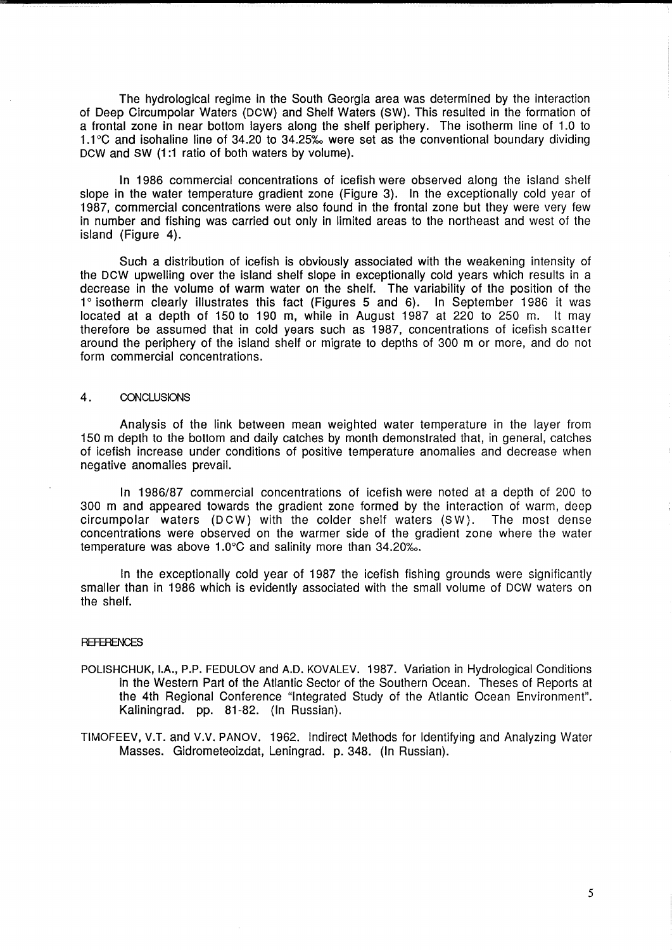The hydrological regime in the South Georgia area was determined by the interaction of Deep Circumpolar Waters (DCW) and Shelf Waters (SW). This resulted in the formation of a frontal zone in near bottom layers along the shelf periphery. The isotherm line of 1.0 to 1.1 $\degree$ C and isohaline line of 34.20 to 34.25% were set as the conventional boundary dividing DCW and SW (1:1 ratio of both waters by volume).

In 1986 commercial concentrations of icefish were observed along the island shelf slope in the water temperature gradient zone (Figure 3). In the exceptionally cold year of 1987, commercial concentrations were also found in the frontal zone but they were very few in number and fishing was carried out only in limited areas to the northeast and west of the island (Figure 4).

Such a distribution of icefish is obviously associated with the weakening intensity of the DCW upwelling over the island shelf slope in exceptionally cold years which results in a decrease in the volume of warm water on the shelf. The variability of the position of the 1 ° isotherm clearly illustrates this fact (Figures 5 and 6). In September 1986 it was located at a depth of 150 to 190 m, while in August 1987 at 220 to 250 m. It may therefore be assumed that in cold years such as 1987, concentrations of icefish scatter around the periphery of the island shelf or migrate to depths of 300 m or more, and do not form commercial concentrations.

# 4. CONCLUSIONS

Analysis of the link between mean weighted water temperature in the layer from 150 m depth to the bottom and daily catches by month demonstrated that, in general, catches of icefish increase under conditions of positive temperature anomalies and decrease when negative anomalies prevail.

In 1986/87 commercial concentrations of icefish were noted at a depth of 200 to 300 m and appeared towards the gradient zone formed by the interaction of warm, deep circumpolar waters (DCW) with the colder shelf waters (SW). The most dense concentrations were observed on the warmer side of the gradient zone where the water temperature was above  $1.0^{\circ}$ C and salinity more than 34.20‰.

In the exceptionally cold year of 1987 the icefish fishing grounds were significantly smaller than in 1986 which is evidently associated with the small volume of DCW waters on the shelf.

#### **REFERENCES**

- POLlSHCHUK, I.A., P.P. FEDULOV and A.D. KOVALEV. 1987. Variation in Hydrological Conditions in the Western Part of the Atlantic Sector of the Southern Ocean. Theses of Reports at the 4th Regional Conference "Integrated Study of the Atlantic Ocean Environment". Kaliningrad. pp. 81-82. (In Russian).
- TIMOFEEV, V.T. and V.V. PANOV. 1962. Indirect Methods for Identifying and Analyzing Water Masses. Gidrometeoizdat, Leningrad. p. 348. (In Russian).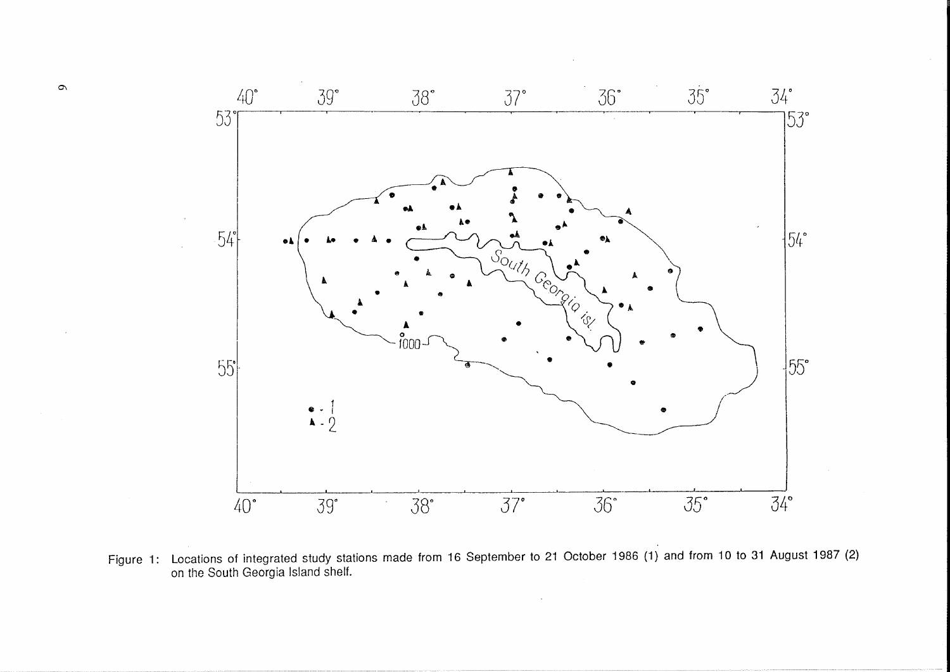

Figure 1: Locations of integrated study stations made from 16 September to 21 October 1986 (1) and from 10 to 31 August 1987 (2) on the South Georgia Island shelf.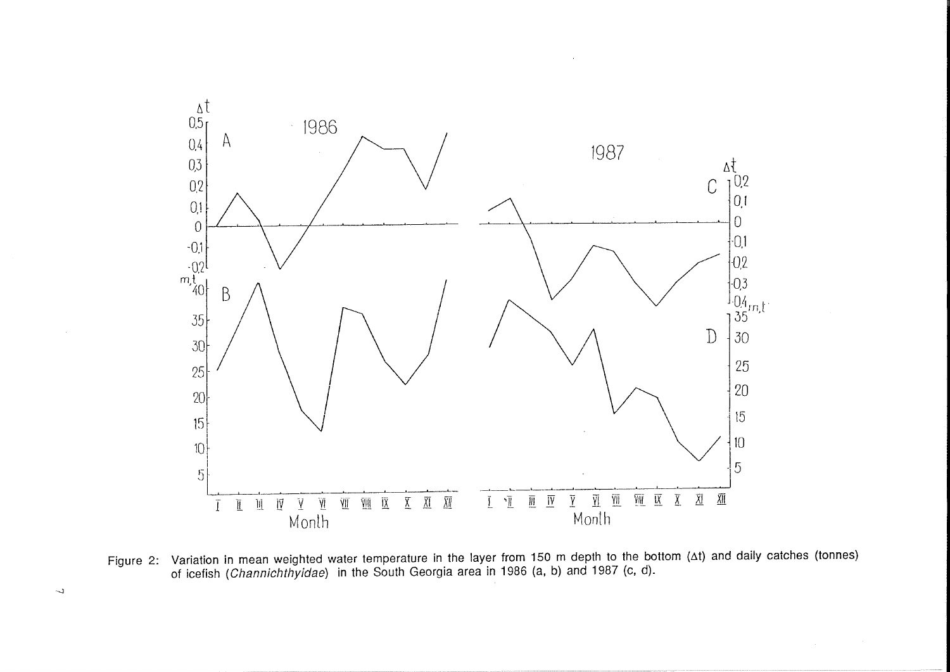

Figure 2: Variation in mean weighted water temperature in the layer from 150 m depth to the bottom (At) and daily catches (tonnes)<br>of icefish (Channichthyidae) in the South Georgia area in 1986 (a, b) and 1987 (c, d).

 $\overline{\phantom{a}}$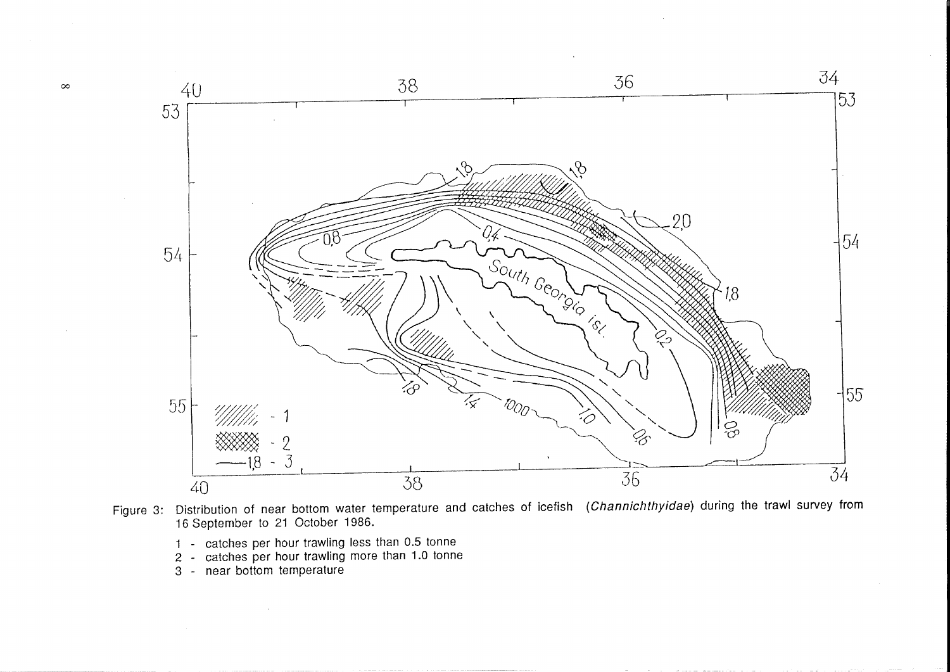

Figure 3: Distribution of near bottom water temperature and catches of icefish (Channichthyidae) during the trawl survey from 16 September to 21 October 1986.

- 1 catches per hour trawling less than 0.5 tonne
- 2 catches per hour trawling more than 1.0 tonne
- 3 near bottom temperature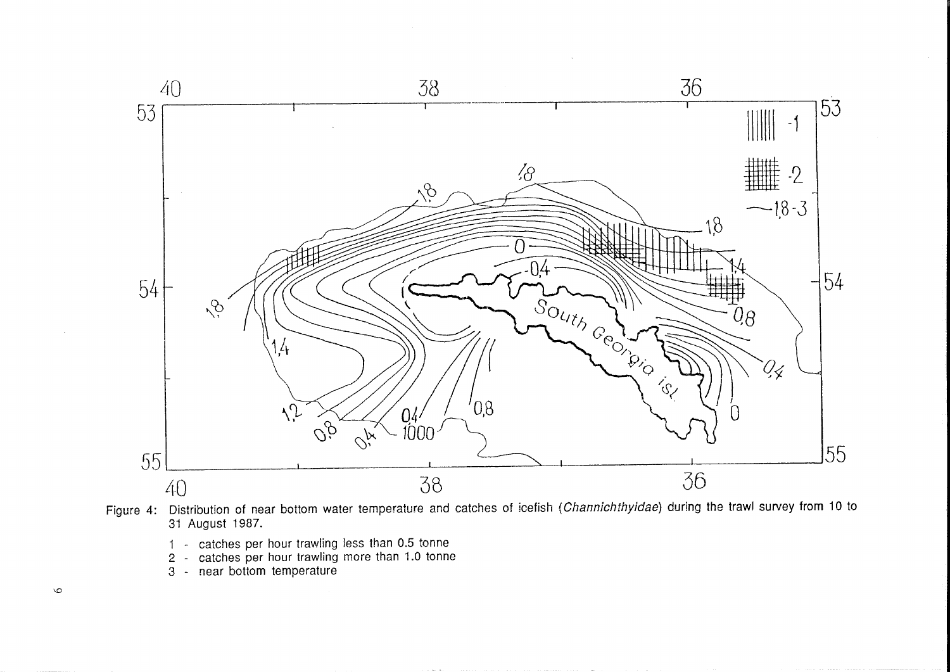

Figure 4: Distribution of near bottom water temperature and catches of icefish (*Channichthyidae*) during the trawl survey from 10 to 31 August 1987.

- 1 catches per hour trawling less than 0.5 tonne
- 2 catches per hour trawling more than 1.0 tonne
- 3 near bottom temperature

'0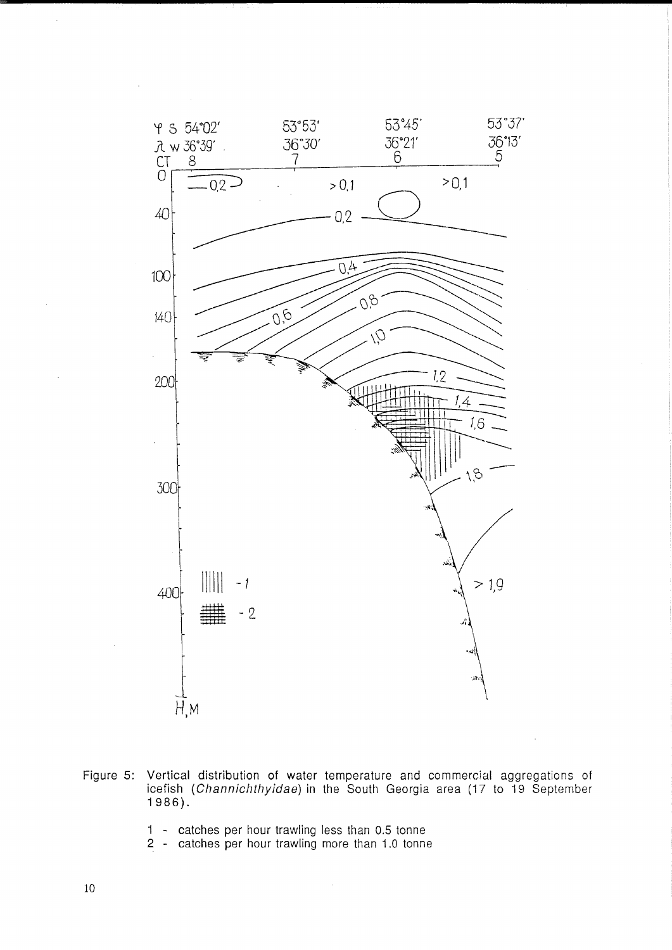

- Figure 5: Vertical distribution of water temperature and commercial aggregations of icefish (Channichthyidae) in the South Georgia area (17 to 19 September 1986).
	- 1 catches per hour trawling less than 0,5 tonne
	- 2 catches per hour trawling more than 1.0 tonne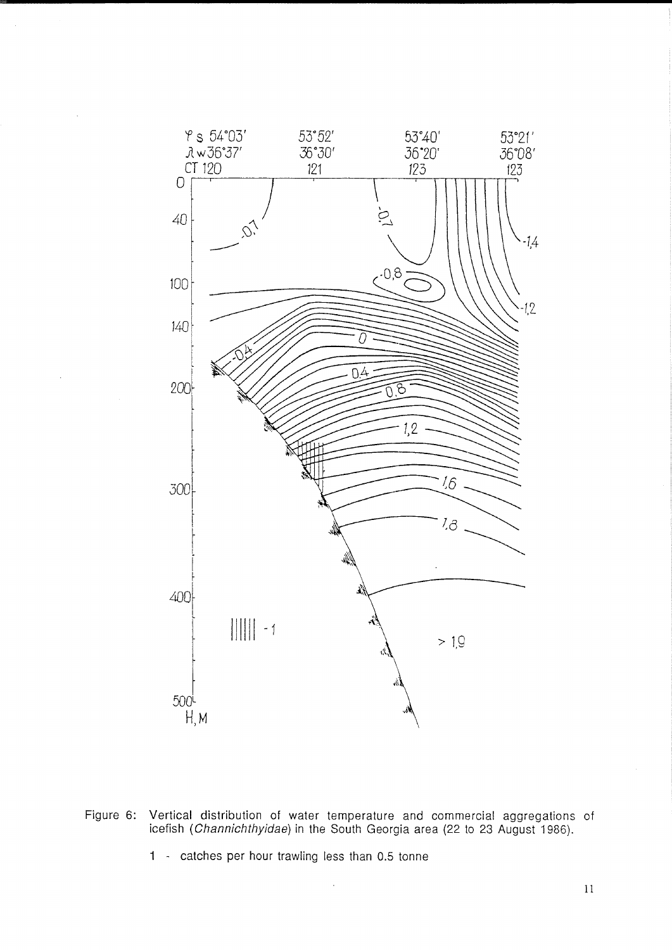

Figure 6: Vertical distribution of water temperature and commercial aggregations of icefish (*Channichthyidae*) in the South Georgia area (22 to 23 August 1986).

1 - catches per hour trawling less than 0.5 tonne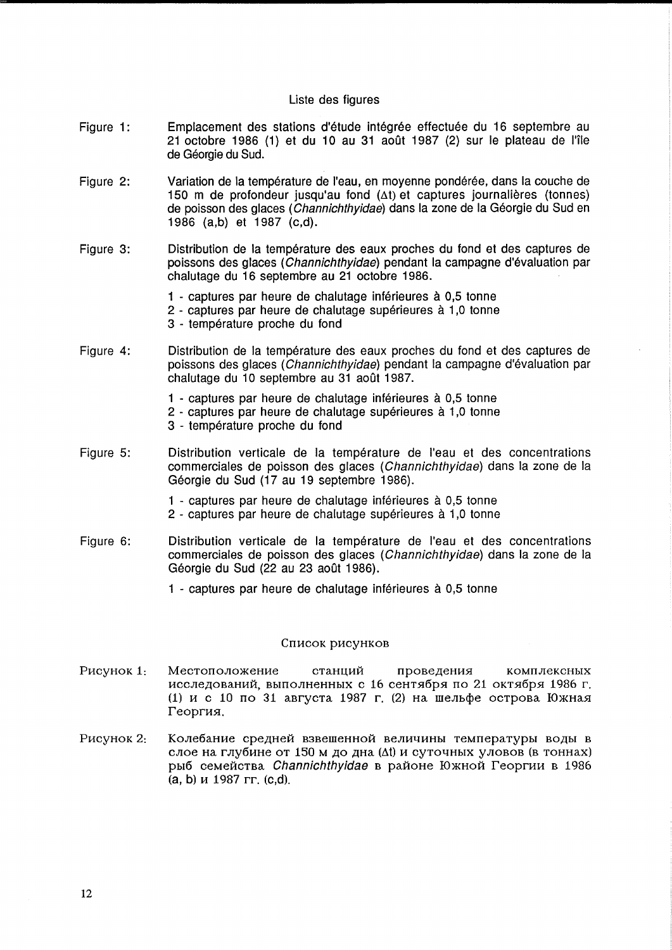# Liste des figures

- Figure 1: Emplacement des stations d'étude intégrée effectuée du 16 septembre au 21 octobre 1986 (1) et du 10 au 31 août 1987 (2) sur le plateau de l'île de Géorgie du Sud.
- Figure 2: Variation de la température de l'eau, en moyenne pondérée, dans la couche de 150 m de profondeur jusqu'au fond  $(\Delta t)$  et captures journalières (tonnes) de poisson des glaces (Channichthyidae) dans la zone de la Géorgie du Sud en 1986 (a,b) et 1987 (c,d).
- Figure 3: Distribution de la temperature des eaux proches du fond et des captures de poissons des glaces (Channichthyidae) pendant la campagne d'evaluation par chalutage du 16 septembre au 21 octobre 1986.
	- 1 captures par heure de chalutage inferieures a 0,5 tonne
	- 2 captures par heure de chalutage supérieures à 1,0 tonne
	- 3 température proche du fond
- Figure 4: Distribution de la temperature des eaux proches du fond et des captures de poissons des glaces (Channichthyidae) pendant la campagne d'évaluation par chalutage du 10 septembre au 31 août 1987.
	- 1 captures par heure de chalutage inferieures a 0,5 tonne
	- 2 captures par heure de chalutage superieures a 1,0 tonne
	- 3 temperature proche du fond
- Figure 5: Distribution verticale de la temperature de I'eau et des concentrations commerciales de poisson des glaces (Channichthyidae) dans la zone de la Georgie du Sud (17 au 19 septembre 1986).
	- 1 captures par heure de chalutage inferieures a 0,5 tonne 2 - captures par heure de chalutage supérieures à 1,0 tonne
- Figure 6: Distribution verticale de la température de l'eau et des concentrations commerciales de poisson des glaces (Channichthyidae) dans la zone de la Géorgie du Sud (22 au 23 août 1986).
	- 1 captures par heure de chalutage inferieures a 0,5 tonne

# Список рисунков

- Pисунок 1: Местоположение станций проведения комплексных исследований, выполненных с 16 сентября по 21 октября 1986 г. (1)  $\mu$  с 10 по 31 августа 1987 г. (2) на шельфе острова Южная Георгия.
- Рисунок 2: Колебание средней взвешенной величины температуры воды в слое на глубине от 150 м до дна (At) и суточных уловов (в тоннах) рыб семейства Channichthyidae в районе Южной Георгии в 1986  $(a, b)$   $\mu$  1987  $\Gamma\Gamma$ . (c,d).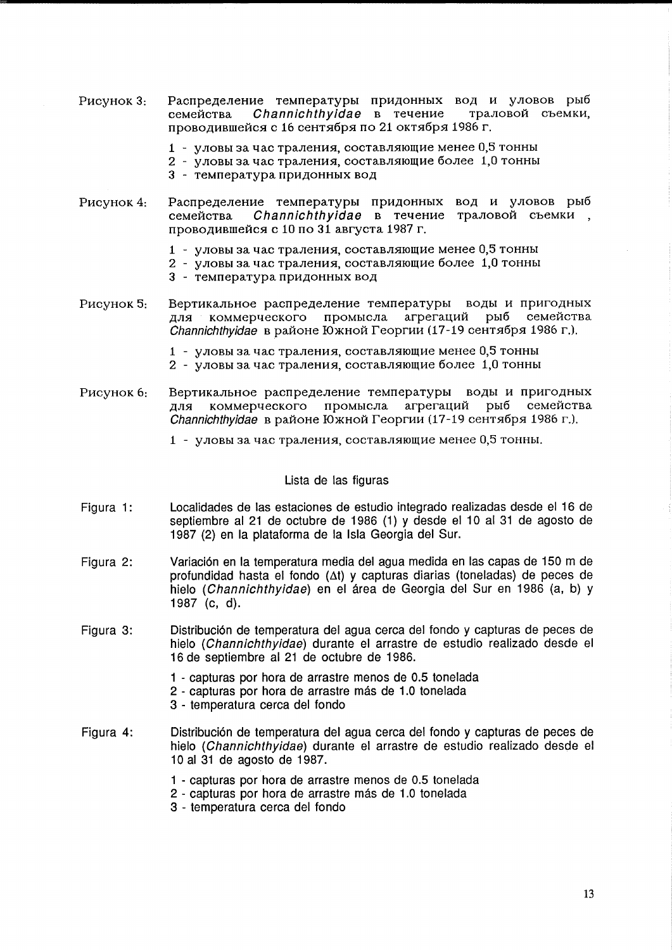- Распределение температуры придонных вод и уловов рыб Рисунок 3:  $Channichth$ vidae в течение семейства траловой съемки. проводившейся с 16 сентября по 21 октября 1986 г.
	- 1 уловы за час траления, составляющие менее 0,5 тонны
	- 2 уловы за час траления, составляющие более 1,0 тонны
	- 3 температура придонных вод
- Распределение температуры придонных вод и уловов рыб Рисунок 4: Channichthyidae в течение траловой съемки, семейства проводившейся с 10 по 31 августа 1987 г.
	- 1 уловы за час траления, составляющие менее 0,5 тонны
	- 2 уловы за час траления, составляющие более 1,0 тонны
	- 3 температура придонных вод
- Рисунок 5: Вертикальное распределение температуры воды и пригодных для коммерческого промысла агрегаций рыб семейства Channichthvidae в районе Южной Георгии (17-19 сентября 1986 г.).
	- 1 уловы за час траления, составляющие менее 0,5 тонны
	- 2 уловы за час траления, составляющие более 1,0 тонны
- Вертикальное распределение температуры воды и пригодных Рисунок 6: лля коммерческого промысла агрегаций рыб семейства Channichthyidae в районе Южной Георгии (17-19 сентября 1986 г.).
	- 1 уловы за час траления, составляющие менее 0,5 тонны.

# Lista de las figuras

- Localidades de las estaciones de estudio integrado realizadas desde el 16 de Figura 1: septiembre al 21 de octubre de 1986 (1) y desde el 10 al 31 de agosto de 1987 (2) en la plataforma de la Isla Georgia del Sur.
- Figura 2: Variación en la temperatura media del agua medida en las capas de 150 m de profundidad hasta el fondo  $(\Delta t)$  y capturas diarias (toneladas) de peces de hielo (Channichthyidae) en el área de Georgia del Sur en 1986 (a, b) y 1987 (c, d).
- Distribución de temperatura del aqua cerca del fondo y capturas de peces de Figura 3: hielo (Channichthyidae) durante el arrastre de estudio realizado desde el 16 de septiembre al 21 de octubre de 1986.
	- 1 capturas por hora de arrastre menos de 0.5 tonelada
	- 2 capturas por hora de arrastre más de 1.0 tonelada
	- 3 temperatura cerca del fondo
- Figura 4: Distribución de temperatura del agua cerca del fondo y capturas de peces de hielo (Channichthyidae) durante el arrastre de estudio realizado desde el 10 al 31 de agosto de 1987.
	- 1 capturas por hora de arrastre menos de 0.5 tonelada
	- 2 capturas por hora de arrastre más de 1.0 tonelada
	- 3 temperatura cerca del fondo